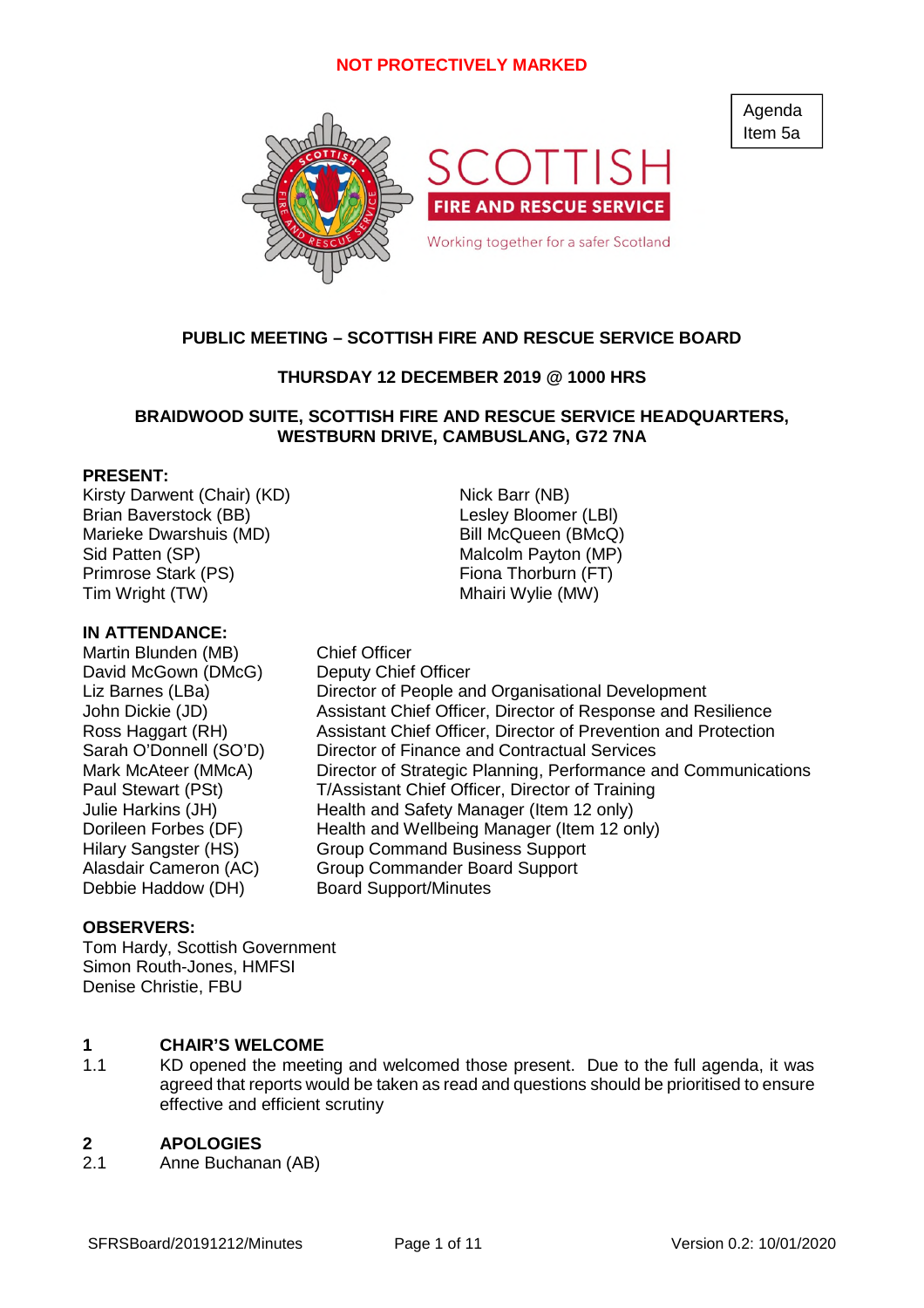

# **PUBLIC MEETING – SCOTTISH FIRE AND RESCUE SERVICE BOARD**

# **THURSDAY 12 DECEMBER 2019 @ 1000 HRS**

# **BRAIDWOOD SUITE, SCOTTISH FIRE AND RESCUE SERVICE HEADQUARTERS, WESTBURN DRIVE, CAMBUSLANG, G72 7NA**

## **PRESENT:**

Kirsty Darwent (Chair) (KD) Nick Barr (NB) Brian Baverstock (BB) and the control of the Lesley Bloomer (LBI) Marieke Dwarshuis (MD) Bill McQueen (BMcQ) Sid Patten (SP) The Contract of Malcolm Payton (MP) Primrose Stark (PS) Fiona Thorburn (FT) Tim Wright (TW) Tim Wright (MW)

### **IN ATTENDANCE:**

Martin Blunden (MB) Chief Officer David McGown (DMcG) Deputy Chief Officer

Liz Barnes (LBa) Director of People and Organisational Development John Dickie (JD) Assistant Chief Officer, Director of Response and Resilience Ross Haggart (RH) Assistant Chief Officer, Director of Prevention and Protection Sarah O'Donnell (SO'D) Director of Finance and Contractual Services Mark McAteer (MMcA) Director of Strategic Planning, Performance and Communications Paul Stewart (PSt) T/Assistant Chief Officer, Director of Training Julie Harkins (JH) Health and Safety Manager (Item 12 only) Dorileen Forbes (DF) Health and Wellbeing Manager (Item 12 only) Hilary Sangster (HS) Group Command Business Support Alasdair Cameron (AC) Group Commander Board Support Debbie Haddow (DH) Board Support/Minutes

### **OBSERVERS:**

Tom Hardy, Scottish Government Simon Routh-Jones, HMFSI Denise Christie, FBU

### **1 CHAIR'S WELCOME**

1.1 KD opened the meeting and welcomed those present. Due to the full agenda, it was agreed that reports would be taken as read and questions should be prioritised to ensure effective and efficient scrutiny

#### **2 APOLOGIES**

2.1 Anne Buchanan (AB) Agenda Item 5a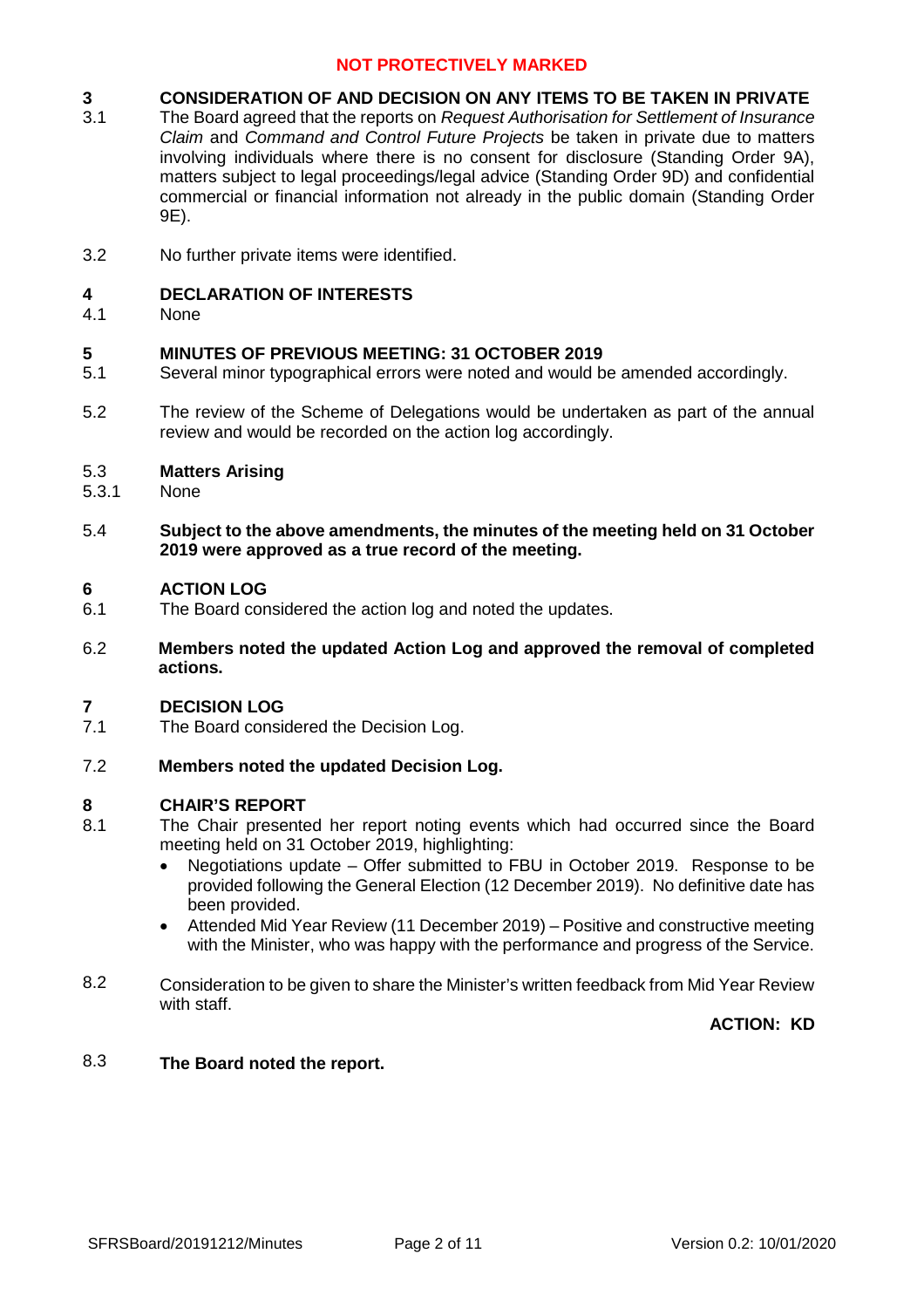#### **3 CONSIDERATION OF AND DECISION ON ANY ITEMS TO BE TAKEN IN PRIVATE**

- 3.1 The Board agreed that the reports on *Request Authorisation for Settlement of Insurance Claim* and *Command and Control Future Projects* be taken in private due to matters involving individuals where there is no consent for disclosure (Standing Order 9A), matters subject to legal proceedings/legal advice (Standing Order 9D) and confidential commercial or financial information not already in the public domain (Standing Order 9E).
- 3.2 No further private items were identified.

#### **4 DECLARATION OF INTERESTS**

4.1 None

#### **5 MINUTES OF PREVIOUS MEETING: 31 OCTOBER 2019**

- 5.1 Several minor typographical errors were noted and would be amended accordingly.
- 5.2 The review of the Scheme of Delegations would be undertaken as part of the annual review and would be recorded on the action log accordingly.

#### 5.3 **Matters Arising**

- 5.3.1 None
- 5.4 **Subject to the above amendments, the minutes of the meeting held on 31 October 2019 were approved as a true record of the meeting.**

#### **6 ACTION LOG**

- 6.1 The Board considered the action log and noted the updates.
- 6.2 **Members noted the updated Action Log and approved the removal of completed actions.**

#### **7 DECISION LOG**

7.1 The Board considered the Decision Log.

#### 7.2 **Members noted the updated Decision Log.**

### **8 CHAIR'S REPORT**

- 8.1 The Chair presented her report noting events which had occurred since the Board meeting held on 31 October 2019, highlighting:
	- Negotiations update Offer submitted to FBU in October 2019. Response to be provided following the General Election (12 December 2019). No definitive date has been provided.
	- Attended Mid Year Review (11 December 2019) Positive and constructive meeting with the Minister, who was happy with the performance and progress of the Service.
- 8.2 Consideration to be given to share the Minister's written feedback from Mid Year Review with staff.

**ACTION: KD**

### 8.3 **The Board noted the report.**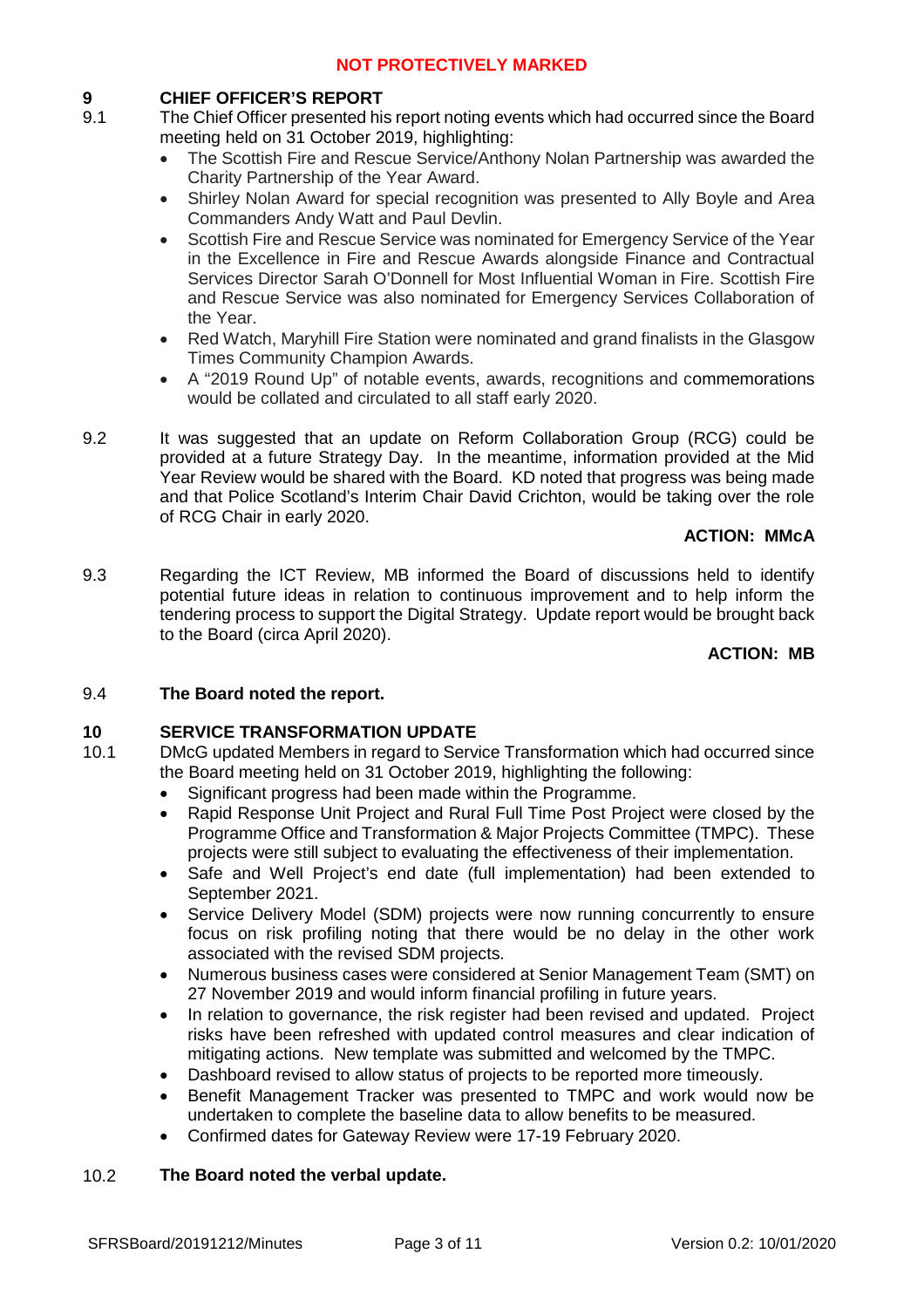# **9 CHIEF OFFICER'S REPORT**

- 9.1 The Chief Officer presented his report noting events which had occurred since the Board meeting held on 31 October 2019, highlighting:
	- The Scottish Fire and Rescue Service/Anthony Nolan Partnership was awarded the Charity Partnership of the Year Award.
	- Shirley Nolan Award for special recognition was presented to Ally Boyle and Area Commanders Andy Watt and Paul Devlin.
	- Scottish Fire and Rescue Service was nominated for Emergency Service of the Year in the Excellence in Fire and Rescue Awards alongside Finance and Contractual Services Director Sarah O'Donnell for Most Influential Woman in Fire. Scottish Fire and Rescue Service was also nominated for Emergency Services Collaboration of the Year.
	- Red Watch, Maryhill Fire Station were nominated and grand finalists in the Glasgow Times Community Champion Awards.
	- A "2019 Round Up" of notable events, awards, recognitions and commemorations would be collated and circulated to all staff early 2020.
- 9.2 It was suggested that an update on Reform Collaboration Group (RCG) could be provided at a future Strategy Day. In the meantime, information provided at the Mid Year Review would be shared with the Board. KD noted that progress was being made and that Police Scotland's Interim Chair David Crichton, would be taking over the role of RCG Chair in early 2020.

## **ACTION: MMcA**

9.3 Regarding the ICT Review, MB informed the Board of discussions held to identify potential future ideas in relation to continuous improvement and to help inform the tendering process to support the Digital Strategy. Update report would be brought back to the Board (circa April 2020).

# **ACTION: MB**

### 9.4 **The Board noted the report.**

# **10 SERVICE TRANSFORMATION UPDATE**

- 10.1 DMcG updated Members in regard to Service Transformation which had occurred since the Board meeting held on 31 October 2019, highlighting the following:
	- Significant progress had been made within the Programme.
	- Rapid Response Unit Project and Rural Full Time Post Project were closed by the Programme Office and Transformation & Major Projects Committee (TMPC). These projects were still subject to evaluating the effectiveness of their implementation.
	- Safe and Well Project's end date (full implementation) had been extended to September 2021.
	- Service Delivery Model (SDM) projects were now running concurrently to ensure focus on risk profiling noting that there would be no delay in the other work associated with the revised SDM projects.
	- Numerous business cases were considered at Senior Management Team (SMT) on 27 November 2019 and would inform financial profiling in future years.
	- In relation to governance, the risk register had been revised and updated. Project risks have been refreshed with updated control measures and clear indication of mitigating actions. New template was submitted and welcomed by the TMPC.
	- Dashboard revised to allow status of projects to be reported more timeously.
	- Benefit Management Tracker was presented to TMPC and work would now be undertaken to complete the baseline data to allow benefits to be measured.
	- Confirmed dates for Gateway Review were 17-19 February 2020.

### 10.2 **The Board noted the verbal update.**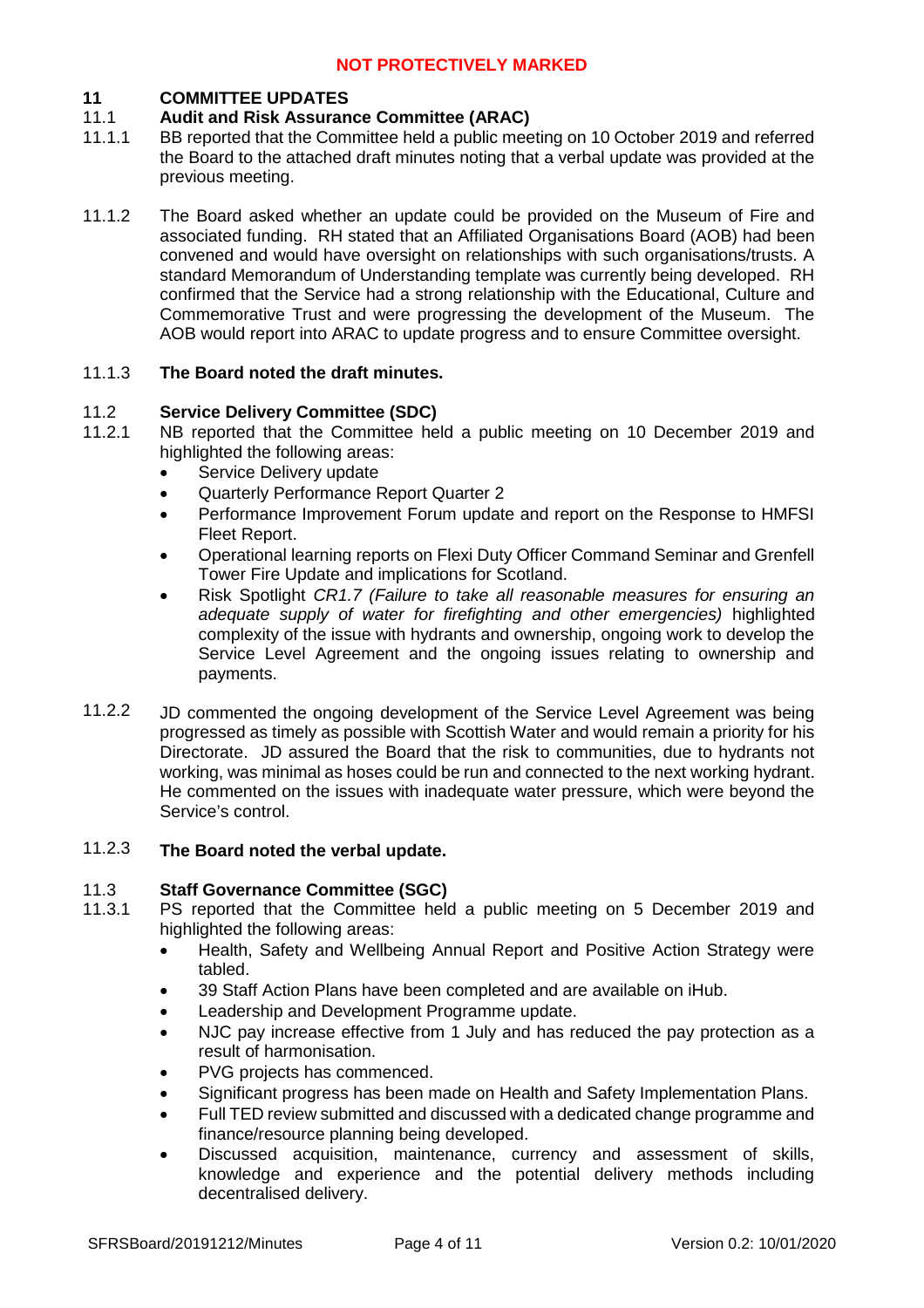# **11 COMMITTEE UPDATES**

### 11.1 **Audit and Risk Assurance Committee (ARAC)**

- 11.1.1 BB reported that the Committee held a public meeting on 10 October 2019 and referred the Board to the attached draft minutes noting that a verbal update was provided at the previous meeting.
- 11.1.2 The Board asked whether an update could be provided on the Museum of Fire and associated funding. RH stated that an Affiliated Organisations Board (AOB) had been convened and would have oversight on relationships with such organisations/trusts. A standard Memorandum of Understanding template was currently being developed. RH confirmed that the Service had a strong relationship with the Educational, Culture and Commemorative Trust and were progressing the development of the Museum. The AOB would report into ARAC to update progress and to ensure Committee oversight.

### 11.1.3 **The Board noted the draft minutes.**

#### 11.2 **Service Delivery Committee (SDC)**

- 11.2.1 NB reported that the Committee held a public meeting on 10 December 2019 and highlighted the following areas:
	- Service Delivery update
	- Quarterly Performance Report Quarter 2
	- Performance Improvement Forum update and report on the Response to HMFSI Fleet Report.
	- Operational learning reports on Flexi Duty Officer Command Seminar and Grenfell Tower Fire Update and implications for Scotland.
	- Risk Spotlight *CR1.7 (Failure to take all reasonable measures for ensuring an adequate supply of water for firefighting and other emergencies)* highlighted complexity of the issue with hydrants and ownership, ongoing work to develop the Service Level Agreement and the ongoing issues relating to ownership and payments.
- 11.2.2 JD commented the ongoing development of the Service Level Agreement was being progressed as timely as possible with Scottish Water and would remain a priority for his Directorate. JD assured the Board that the risk to communities, due to hydrants not working, was minimal as hoses could be run and connected to the next working hydrant. He commented on the issues with inadequate water pressure, which were beyond the Service's control.

### 11.2.3 **The Board noted the verbal update.**

#### 11.3 **Staff Governance Committee (SGC)**

- 11.3.1 PS reported that the Committee held a public meeting on 5 December 2019 and highlighted the following areas:
	- Health, Safety and Wellbeing Annual Report and Positive Action Strategy were tabled.
	- 39 Staff Action Plans have been completed and are available on iHub.
	- Leadership and Development Programme update.
	- NJC pay increase effective from 1 July and has reduced the pay protection as a result of harmonisation.
	- PVG projects has commenced.
	- Significant progress has been made on Health and Safety Implementation Plans.
	- Full TED review submitted and discussed with a dedicated change programme and finance/resource planning being developed.
	- Discussed acquisition, maintenance, currency and assessment of skills, knowledge and experience and the potential delivery methods including decentralised delivery.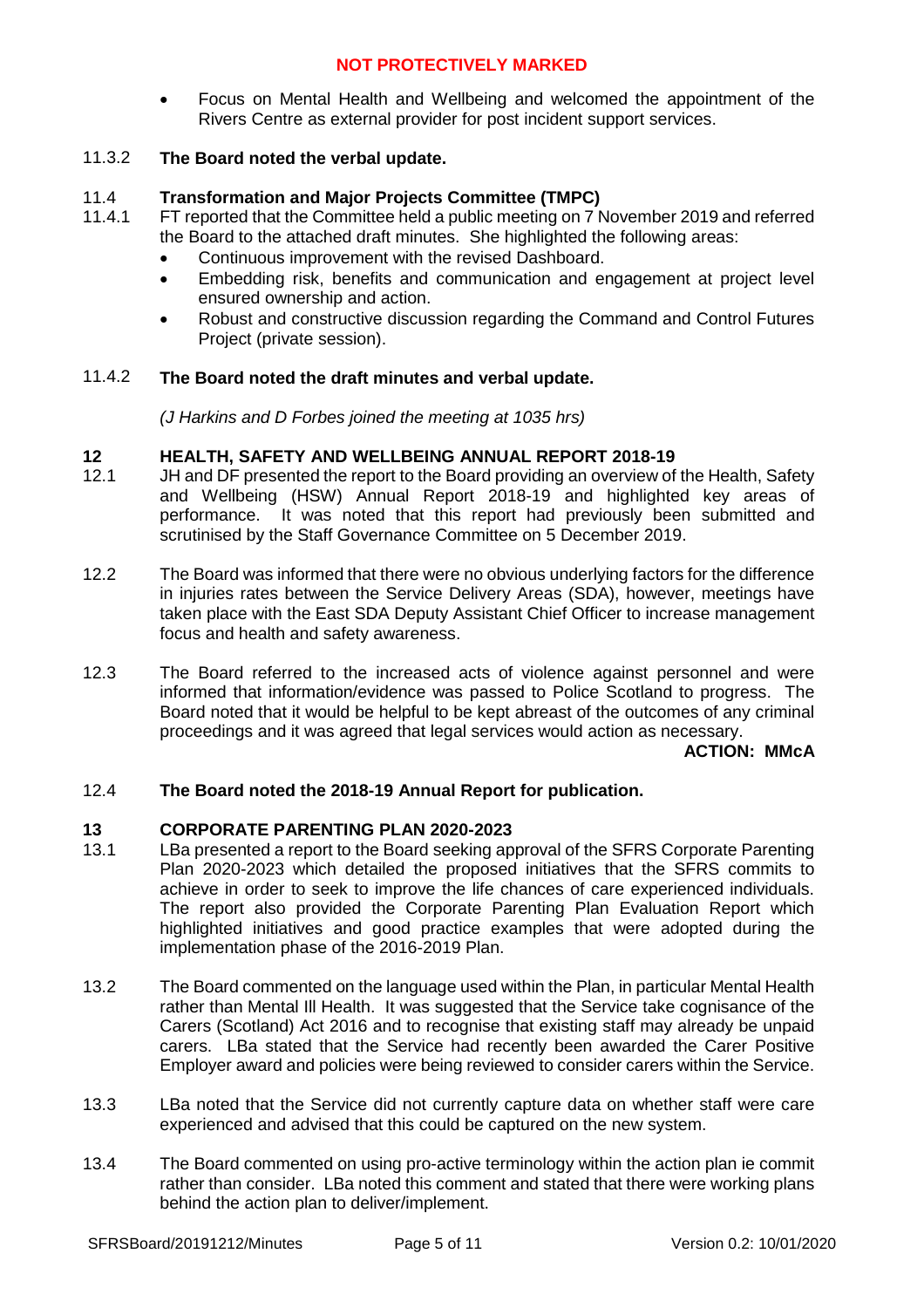Focus on Mental Health and Wellbeing and welcomed the appointment of the Rivers Centre as external provider for post incident support services.

### 11.3.2 **The Board noted the verbal update.**

#### 11.4 **Transformation and Major Projects Committee (TMPC)**

- 11.4.1 FT reported that the Committee held a public meeting on 7 November 2019 and referred the Board to the attached draft minutes. She highlighted the following areas:
	- Continuous improvement with the revised Dashboard.
	- Embedding risk, benefits and communication and engagement at project level ensured ownership and action.
	- Robust and constructive discussion regarding the Command and Control Futures Project (private session).

### 11.4.2 **The Board noted the draft minutes and verbal update.**

*(J Harkins and D Forbes joined the meeting at 1035 hrs)*

### **12 HEALTH, SAFETY AND WELLBEING ANNUAL REPORT 2018-19**

- 12.1 JH and DF presented the report to the Board providing an overview of the Health, Safety and Wellbeing (HSW) Annual Report 2018-19 and highlighted key areas of performance. It was noted that this report had previously been submitted and scrutinised by the Staff Governance Committee on 5 December 2019.
- 12.2 The Board was informed that there were no obvious underlying factors for the difference in injuries rates between the Service Delivery Areas (SDA), however, meetings have taken place with the East SDA Deputy Assistant Chief Officer to increase management focus and health and safety awareness.
- 12.3 The Board referred to the increased acts of violence against personnel and were informed that information/evidence was passed to Police Scotland to progress. The Board noted that it would be helpful to be kept abreast of the outcomes of any criminal proceedings and it was agreed that legal services would action as necessary.

**ACTION: MMcA**

### 12.4 **The Board noted the 2018-19 Annual Report for publication.**

### **13 CORPORATE PARENTING PLAN 2020-2023**

- 13.1 LBa presented a report to the Board seeking approval of the SFRS Corporate Parenting Plan 2020-2023 which detailed the proposed initiatives that the SFRS commits to achieve in order to seek to improve the life chances of care experienced individuals. The report also provided the Corporate Parenting Plan Evaluation Report which highlighted initiatives and good practice examples that were adopted during the implementation phase of the 2016-2019 Plan.
- 13.2 The Board commented on the language used within the Plan, in particular Mental Health rather than Mental III Health. It was suggested that the Service take cognisance of the Carers (Scotland) Act 2016 and to recognise that existing staff may already be unpaid carers. LBa stated that the Service had recently been awarded the Carer Positive Employer award and policies were being reviewed to consider carers within the Service.
- 13.3 LBa noted that the Service did not currently capture data on whether staff were care experienced and advised that this could be captured on the new system.
- 13.4 The Board commented on using pro-active terminology within the action plan ie commit rather than consider. LBa noted this comment and stated that there were working plans behind the action plan to deliver/implement.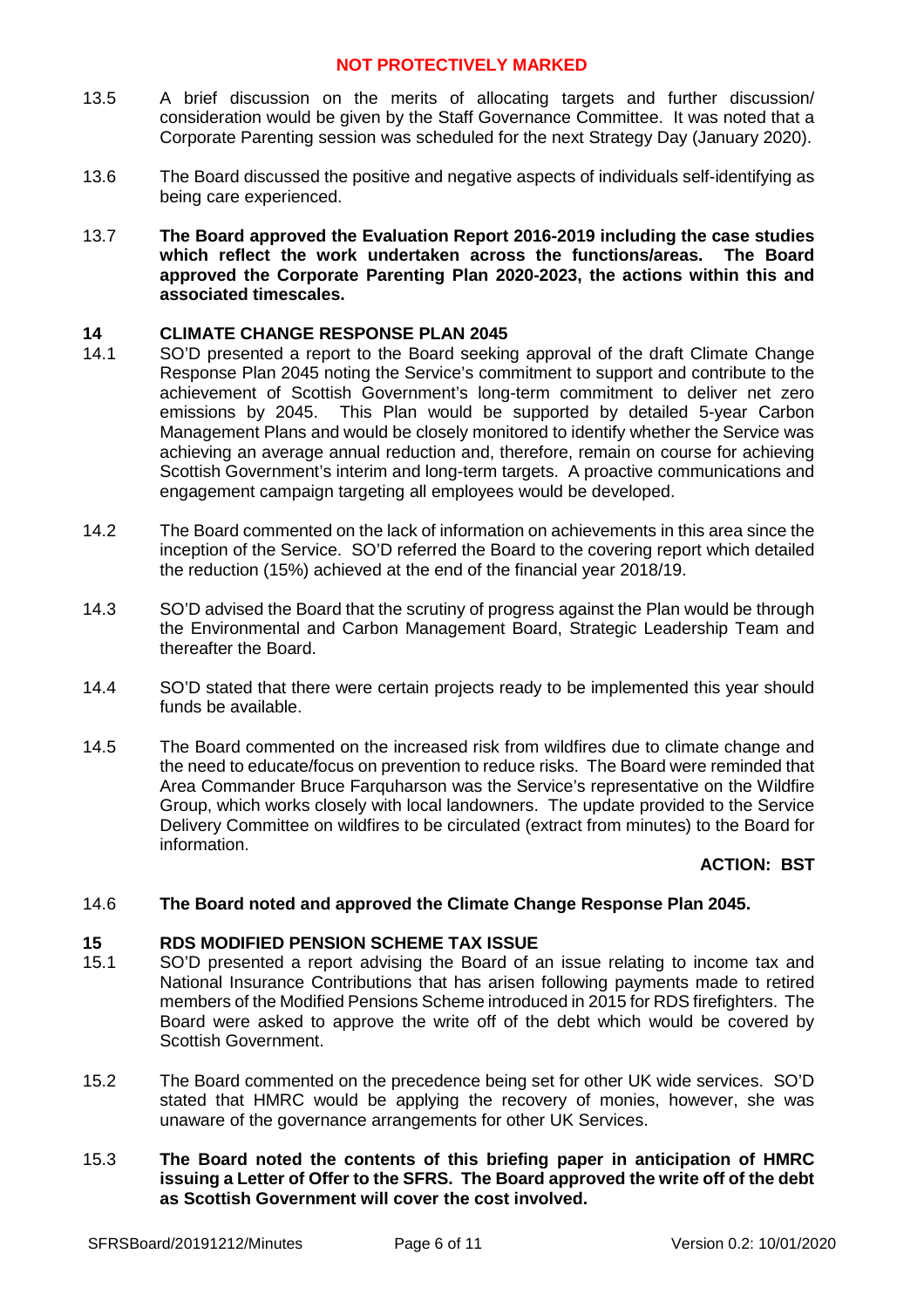- 13.5 A brief discussion on the merits of allocating targets and further discussion/ consideration would be given by the Staff Governance Committee. It was noted that a Corporate Parenting session was scheduled for the next Strategy Day (January 2020).
- 13.6 The Board discussed the positive and negative aspects of individuals self-identifying as being care experienced.
- 13.7 **The Board approved the Evaluation Report 2016-2019 including the case studies which reflect the work undertaken across the functions/areas. The Board approved the Corporate Parenting Plan 2020-2023, the actions within this and associated timescales.**

## **14 CLIMATE CHANGE RESPONSE PLAN 2045**

- 14.1 SO'D presented a report to the Board seeking approval of the draft Climate Change Response Plan 2045 noting the Service's commitment to support and contribute to the achievement of Scottish Government's long-term commitment to deliver net zero emissions by 2045. This Plan would be supported by detailed 5-year Carbon Management Plans and would be closely monitored to identify whether the Service was achieving an average annual reduction and, therefore, remain on course for achieving Scottish Government's interim and long-term targets. A proactive communications and engagement campaign targeting all employees would be developed.
- 14.2 The Board commented on the lack of information on achievements in this area since the inception of the Service. SO'D referred the Board to the covering report which detailed the reduction (15%) achieved at the end of the financial year 2018/19.
- 14.3 SO'D advised the Board that the scrutiny of progress against the Plan would be through the Environmental and Carbon Management Board, Strategic Leadership Team and thereafter the Board.
- 14.4 SO'D stated that there were certain projects ready to be implemented this year should funds be available.
- 14.5 The Board commented on the increased risk from wildfires due to climate change and the need to educate/focus on prevention to reduce risks. The Board were reminded that Area Commander Bruce Farquharson was the Service's representative on the Wildfire Group, which works closely with local landowners. The update provided to the Service Delivery Committee on wildfires to be circulated (extract from minutes) to the Board for information.

### **ACTION: BST**

#### 14.6 **The Board noted and approved the Climate Change Response Plan 2045.**

### **15 RDS MODIFIED PENSION SCHEME TAX ISSUE**

- 15.1 SO'D presented a report advising the Board of an issue relating to income tax and National Insurance Contributions that has arisen following payments made to retired members of the Modified Pensions Scheme introduced in 2015 for RDS firefighters. The Board were asked to approve the write off of the debt which would be covered by Scottish Government.
- 15.2 The Board commented on the precedence being set for other UK wide services. SO'D stated that HMRC would be applying the recovery of monies, however, she was unaware of the governance arrangements for other UK Services.
- 15.3 **The Board noted the contents of this briefing paper in anticipation of HMRC issuing a Letter of Offer to the SFRS. The Board approved the write off of the debt as Scottish Government will cover the cost involved.**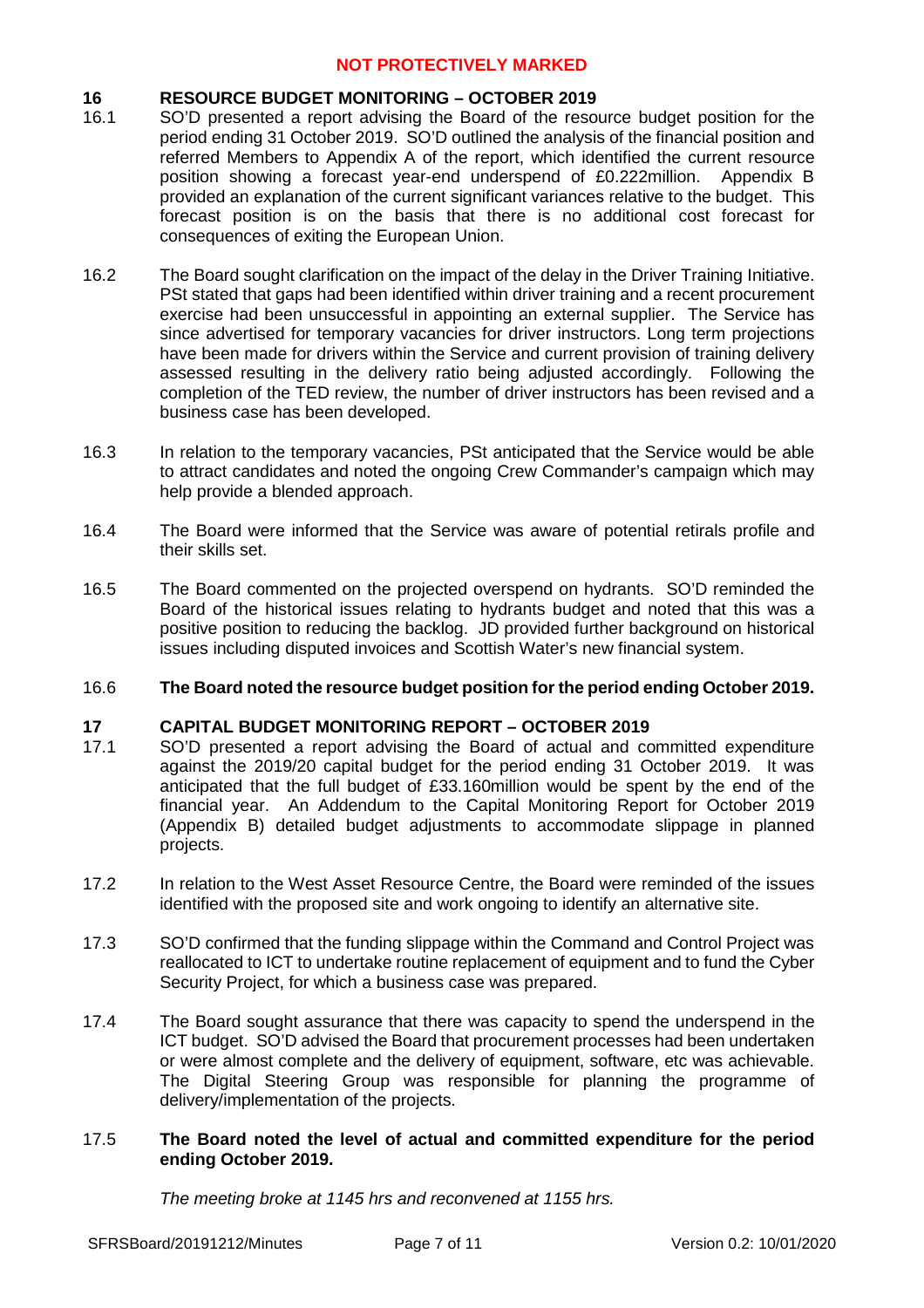# **16 RESOURCE BUDGET MONITORING – OCTOBER 2019**

- 16.1 SO'D presented a report advising the Board of the resource budget position for the period ending 31 October 2019. SO'D outlined the analysis of the financial position and referred Members to Appendix A of the report, which identified the current resource position showing a forecast year-end underspend of £0.222million. Appendix B provided an explanation of the current significant variances relative to the budget. This forecast position is on the basis that there is no additional cost forecast for consequences of exiting the European Union.
- 16.2 The Board sought clarification on the impact of the delay in the Driver Training Initiative. PSt stated that gaps had been identified within driver training and a recent procurement exercise had been unsuccessful in appointing an external supplier. The Service has since advertised for temporary vacancies for driver instructors. Long term projections have been made for drivers within the Service and current provision of training delivery assessed resulting in the delivery ratio being adjusted accordingly. Following the completion of the TED review, the number of driver instructors has been revised and a business case has been developed.
- 16.3 In relation to the temporary vacancies, PSt anticipated that the Service would be able to attract candidates and noted the ongoing Crew Commander's campaign which may help provide a blended approach.
- 16.4 The Board were informed that the Service was aware of potential retirals profile and their skills set.
- 16.5 The Board commented on the projected overspend on hydrants. SO'D reminded the Board of the historical issues relating to hydrants budget and noted that this was a positive position to reducing the backlog. JD provided further background on historical issues including disputed invoices and Scottish Water's new financial system.

#### 16.6 **The Board noted the resource budget position for the period ending October 2019.**

# **17 CAPITAL BUDGET MONITORING REPORT – OCTOBER 2019**

- 17.1 SO'D presented a report advising the Board of actual and committed expenditure against the 2019/20 capital budget for the period ending 31 October 2019. It was anticipated that the full budget of £33.160million would be spent by the end of the financial year. An Addendum to the Capital Monitoring Report for October 2019 (Appendix B) detailed budget adjustments to accommodate slippage in planned projects.
- 17.2 In relation to the West Asset Resource Centre, the Board were reminded of the issues identified with the proposed site and work ongoing to identify an alternative site.
- 17.3 SO'D confirmed that the funding slippage within the Command and Control Project was reallocated to ICT to undertake routine replacement of equipment and to fund the Cyber Security Project, for which a business case was prepared.
- 17.4 The Board sought assurance that there was capacity to spend the underspend in the ICT budget. SO'D advised the Board that procurement processes had been undertaken or were almost complete and the delivery of equipment, software, etc was achievable. The Digital Steering Group was responsible for planning the programme of delivery/implementation of the projects.

### 17.5 **The Board noted the level of actual and committed expenditure for the period ending October 2019.**

*The meeting broke at 1145 hrs and reconvened at 1155 hrs.*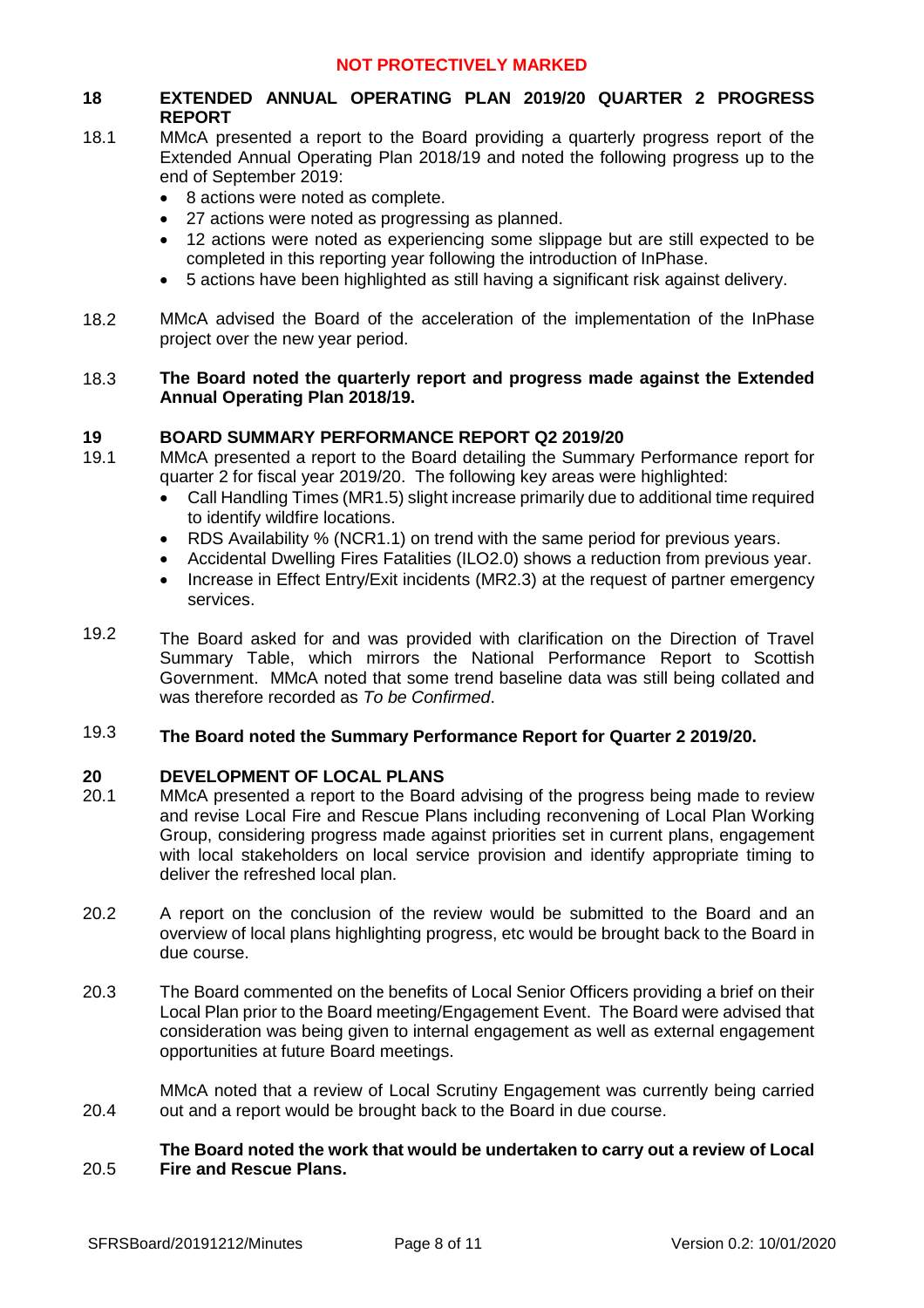# **18 EXTENDED ANNUAL OPERATING PLAN 2019/20 QUARTER 2 PROGRESS REPORT**

- 18.1 MMcA presented a report to the Board providing a quarterly progress report of the Extended Annual Operating Plan 2018/19 and noted the following progress up to the end of September 2019:
	- 8 actions were noted as complete.
	- 27 actions were noted as progressing as planned.
	- 12 actions were noted as experiencing some slippage but are still expected to be completed in this reporting year following the introduction of InPhase.
	- 5 actions have been highlighted as still having a significant risk against delivery.
- 18.2 MMcA advised the Board of the acceleration of the implementation of the InPhase project over the new year period.

### 18.3 **The Board noted the quarterly report and progress made against the Extended Annual Operating Plan 2018/19.**

# **19 BOARD SUMMARY PERFORMANCE REPORT Q2 2019/20**

- 19.1 MMcA presented a report to the Board detailing the Summary Performance report for quarter 2 for fiscal year 2019/20. The following key areas were highlighted:
	- Call Handling Times (MR1.5) slight increase primarily due to additional time required to identify wildfire locations.
	- RDS Availability % (NCR1.1) on trend with the same period for previous years.
	- Accidental Dwelling Fires Fatalities (ILO2.0) shows a reduction from previous year.
	- Increase in Effect Entry/Exit incidents (MR2.3) at the request of partner emergency services.
- 19.2 The Board asked for and was provided with clarification on the Direction of Travel Summary Table, which mirrors the National Performance Report to Scottish Government. MMcA noted that some trend baseline data was still being collated and was therefore recorded as *To be Confirmed*.

### 19.3 **The Board noted the Summary Performance Report for Quarter 2 2019/20.**

# **20 DEVELOPMENT OF LOCAL PLANS**

- 20.1 MMcA presented a report to the Board advising of the progress being made to review and revise Local Fire and Rescue Plans including reconvening of Local Plan Working Group, considering progress made against priorities set in current plans, engagement with local stakeholders on local service provision and identify appropriate timing to deliver the refreshed local plan.
- 20.2 A report on the conclusion of the review would be submitted to the Board and an overview of local plans highlighting progress, etc would be brought back to the Board in due course.
- 20.3 The Board commented on the benefits of Local Senior Officers providing a brief on their Local Plan prior to the Board meeting/Engagement Event. The Board were advised that consideration was being given to internal engagement as well as external engagement opportunities at future Board meetings.
- 20.4 MMcA noted that a review of Local Scrutiny Engagement was currently being carried out and a report would be brought back to the Board in due course.

### 20.5 **The Board noted the work that would be undertaken to carry out a review of Local Fire and Rescue Plans.**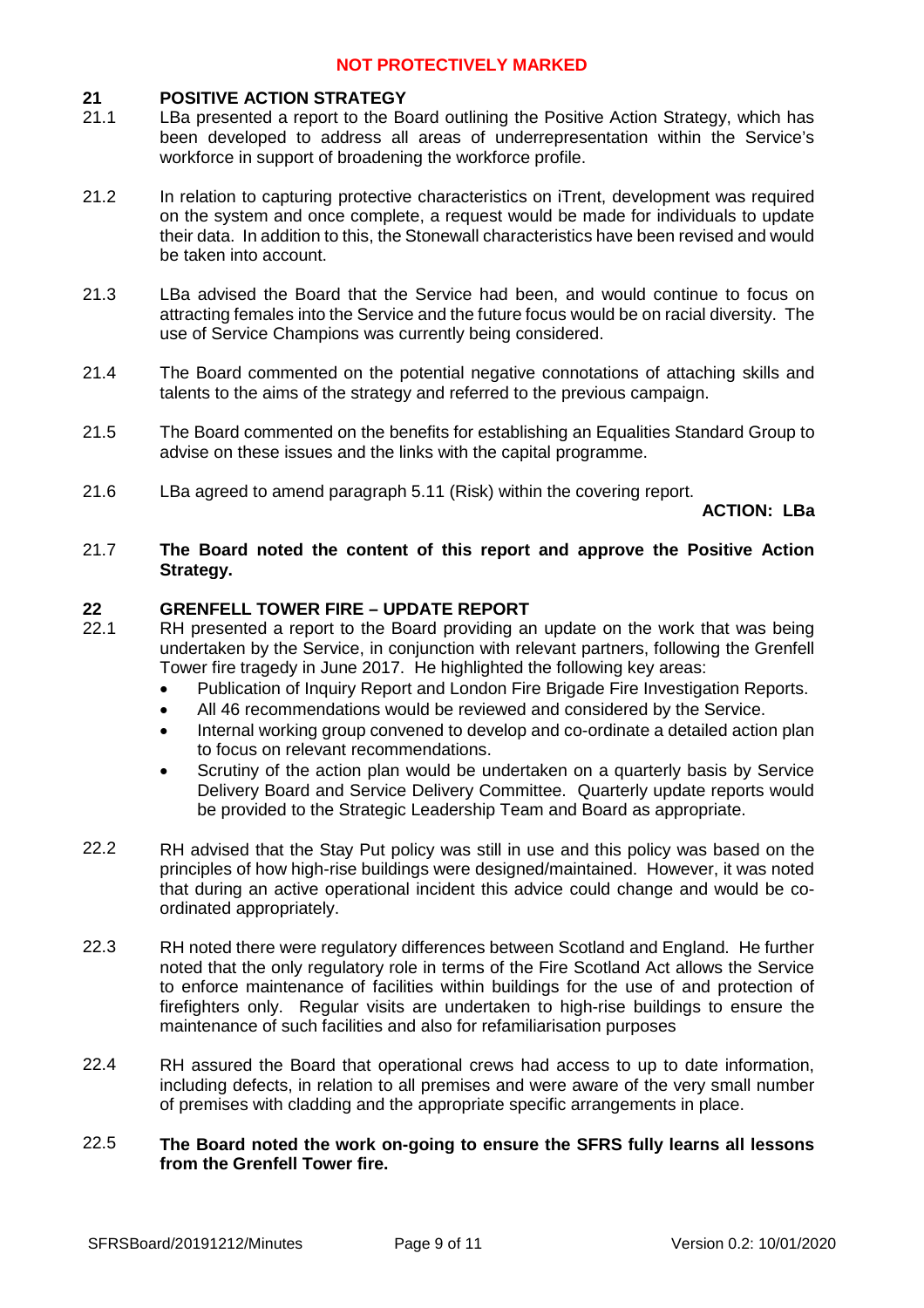### **21 POSITIVE ACTION STRATEGY**

- 21.1 LBa presented a report to the Board outlining the Positive Action Strategy, which has been developed to address all areas of underrepresentation within the Service's workforce in support of broadening the workforce profile.
- 21.2 In relation to capturing protective characteristics on iTrent, development was required on the system and once complete, a request would be made for individuals to update their data. In addition to this, the Stonewall characteristics have been revised and would be taken into account.
- 21.3 LBa advised the Board that the Service had been, and would continue to focus on attracting females into the Service and the future focus would be on racial diversity. The use of Service Champions was currently being considered.
- 21.4 The Board commented on the potential negative connotations of attaching skills and talents to the aims of the strategy and referred to the previous campaign.
- 21.5 The Board commented on the benefits for establishing an Equalities Standard Group to advise on these issues and the links with the capital programme.
- 21.6 LBa agreed to amend paragraph 5.11 (Risk) within the covering report.

**ACTION: LBa**

### 21.7 **The Board noted the content of this report and approve the Positive Action Strategy.**

## **22 GRENFELL TOWER FIRE – UPDATE REPORT**

- 22.1 RH presented a report to the Board providing an update on the work that was being undertaken by the Service, in conjunction with relevant partners, following the Grenfell Tower fire tragedy in June 2017. He highlighted the following key areas:
	- Publication of Inquiry Report and London Fire Brigade Fire Investigation Reports.
	- All 46 recommendations would be reviewed and considered by the Service.
	- Internal working group convened to develop and co-ordinate a detailed action plan to focus on relevant recommendations.
	- Scrutiny of the action plan would be undertaken on a quarterly basis by Service Delivery Board and Service Delivery Committee. Quarterly update reports would be provided to the Strategic Leadership Team and Board as appropriate.
- 22.2 RH advised that the Stay Put policy was still in use and this policy was based on the principles of how high-rise buildings were designed/maintained. However, it was noted that during an active operational incident this advice could change and would be coordinated appropriately.
- 22.3 RH noted there were regulatory differences between Scotland and England. He further noted that the only regulatory role in terms of the Fire Scotland Act allows the Service to enforce maintenance of facilities within buildings for the use of and protection of firefighters only. Regular visits are undertaken to high-rise buildings to ensure the maintenance of such facilities and also for refamiliarisation purposes
- 22.4 RH assured the Board that operational crews had access to up to date information, including defects, in relation to all premises and were aware of the very small number of premises with cladding and the appropriate specific arrangements in place.

### 22.5 **The Board noted the work on-going to ensure the SFRS fully learns all lessons from the Grenfell Tower fire.**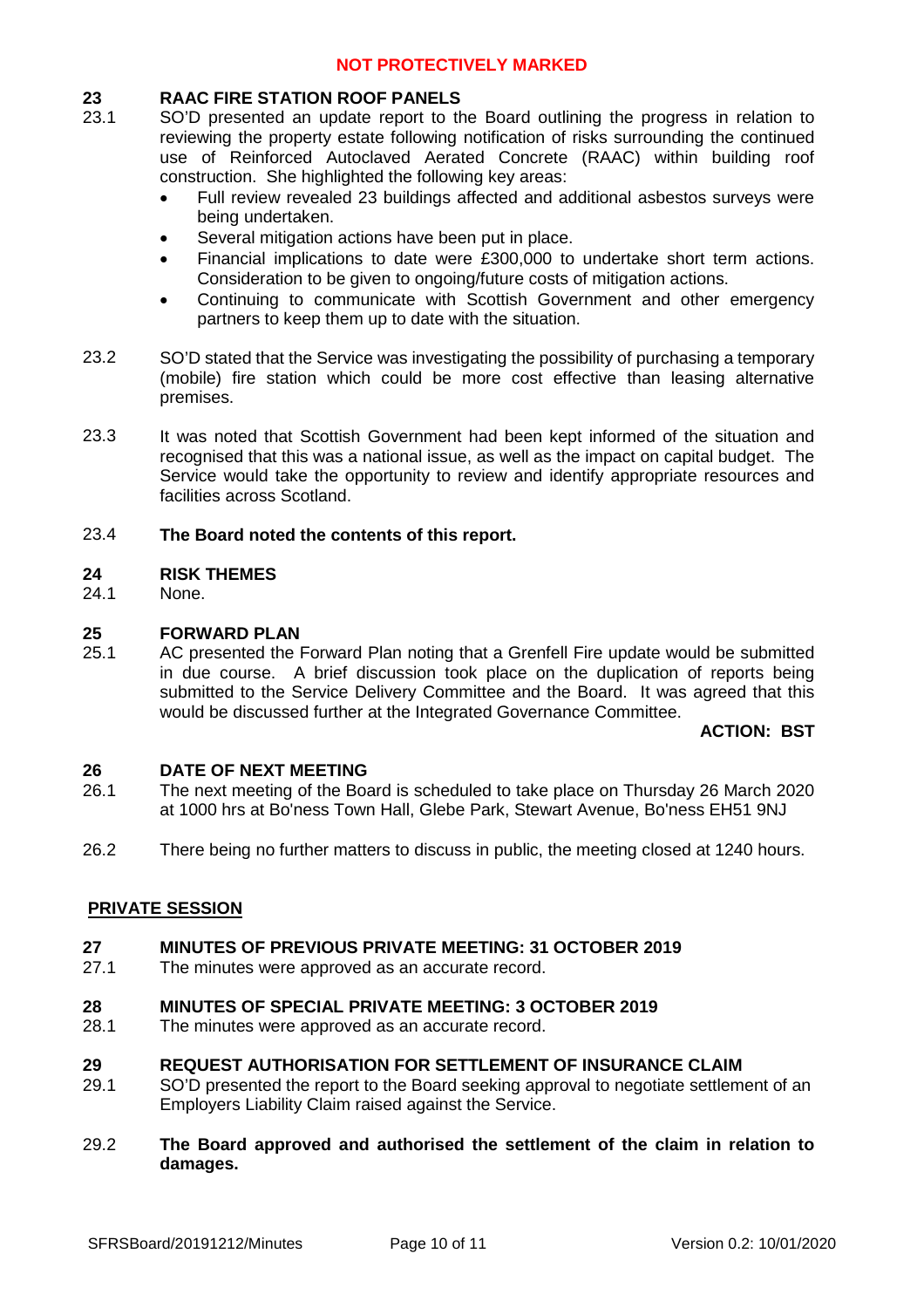# **23 RAAC FIRE STATION ROOF PANELS**

- 23.1 SO'D presented an update report to the Board outlining the progress in relation to reviewing the property estate following notification of risks surrounding the continued use of Reinforced Autoclaved Aerated Concrete (RAAC) within building roof construction. She highlighted the following key areas:
	- Full review revealed 23 buildings affected and additional asbestos surveys were being undertaken.
	- Several mitigation actions have been put in place.
	- Financial implications to date were £300,000 to undertake short term actions. Consideration to be given to ongoing/future costs of mitigation actions.
	- Continuing to communicate with Scottish Government and other emergency partners to keep them up to date with the situation.
- 23.2 SO'D stated that the Service was investigating the possibility of purchasing a temporary (mobile) fire station which could be more cost effective than leasing alternative premises.
- 23.3 It was noted that Scottish Government had been kept informed of the situation and recognised that this was a national issue, as well as the impact on capital budget. The Service would take the opportunity to review and identify appropriate resources and facilities across Scotland.

### 23.4 **The Board noted the contents of this report.**

## **24 RISK THEMES**

24.1 None.

## **25 FORWARD PLAN**

25.1 AC presented the Forward Plan noting that a Grenfell Fire update would be submitted in due course. A brief discussion took place on the duplication of reports being submitted to the Service Delivery Committee and the Board. It was agreed that this would be discussed further at the Integrated Governance Committee.

### **ACTION: BST**

### **26 DATE OF NEXT MEETING**

- 26.1 The next meeting of the Board is scheduled to take place on Thursday 26 March 2020 at 1000 hrs at Bo'ness Town Hall, Glebe Park, Stewart Avenue, Bo'ness EH51 9NJ
- 26.2 There being no further matters to discuss in public, the meeting closed at 1240 hours.

# **PRIVATE SESSION**

#### **27 MINUTES OF PREVIOUS PRIVATE MEETING: 31 OCTOBER 2019**

27.1 The minutes were approved as an accurate record.

#### **28 MINUTES OF SPECIAL PRIVATE MEETING: 3 OCTOBER 2019**

28.1 The minutes were approved as an accurate record.

#### **29 REQUEST AUTHORISATION FOR SETTLEMENT OF INSURANCE CLAIM**

- 29.1 SO'D presented the report to the Board seeking approval to negotiate settlement of an Employers Liability Claim raised against the Service.
- 29.2 **The Board approved and authorised the settlement of the claim in relation to damages.**